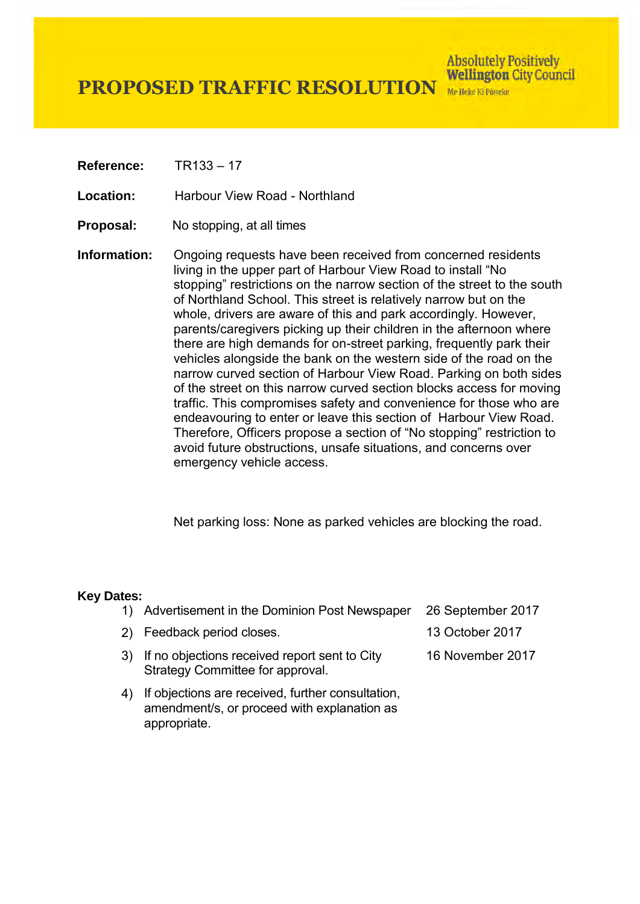**PROPOSED TRAFFIC RESOLUTION** 

**Absolutely Positively Wellington City Council** 

Me Heke Ki Pôneke

**Reference:** TR133 – 17

**Location:** Harbour View Road - Northland

- **Proposal:** No stopping, at all times
- **Information:** Ongoing requests have been received from concerned residents living in the upper part of Harbour View Road to install "No stopping" restrictions on the narrow section of the street to the south of Northland School. This street is relatively narrow but on the whole, drivers are aware of this and park accordingly. However, parents/caregivers picking up their children in the afternoon where there are high demands for on-street parking, frequently park their vehicles alongside the bank on the western side of the road on the narrow curved section of Harbour View Road. Parking on both sides of the street on this narrow curved section blocks access for moving traffic. This compromises safety and convenience for those who are endeavouring to enter or leave this section of Harbour View Road. Therefore, Officers propose a section of "No stopping" restriction to avoid future obstructions, unsafe situations, and concerns over emergency vehicle access.

Net parking loss: None as parked vehicles are blocking the road.

## **Key Dates:**

| 1) Advertisement in the Dominion Post Newspaper                                      | 26 September 2017 |
|--------------------------------------------------------------------------------------|-------------------|
| 2) Feedback period closes.                                                           | 13 October 2017   |
| 3) If no objections received report sent to City<br>Strategy Committee for approval. | 16 November 2017  |

- 4) If objections are received, further consultation, amendment/s, or proceed with explanation as appropriate.
-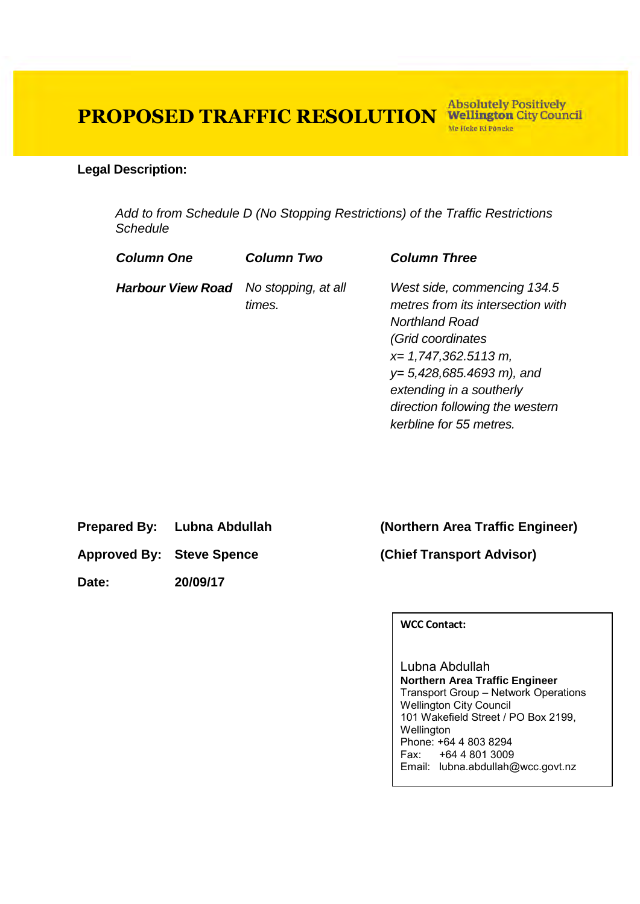**PROPOSED TRAFFIC RESOLUTION** Wellington City Council

**Absolutely Positively** Me Heke Ki Pôneke

## **Legal Description:**

*Add to from Schedule D (No Stopping Restrictions) of the Traffic Restrictions Schedule* 

| <b>Column One</b>        | Column Two                    | <b>Column Three</b>                                                                                                                                                                                                                                          |
|--------------------------|-------------------------------|--------------------------------------------------------------------------------------------------------------------------------------------------------------------------------------------------------------------------------------------------------------|
| <b>Harbour View Road</b> | No stopping, at all<br>times. | West side, commencing 134.5<br>metres from its intersection with<br>Northland Road<br>(Grid coordinates<br>$x=$ 1,747,362.5113 m,<br>$y=5,428,685.4693 \, m$ , and<br>extending in a southerly<br>direction following the western<br>kerbline for 55 metres. |

| Prepared By: Lubna Abdullah | (Northern Area Traffic Engineer) |
|-----------------------------|----------------------------------|
|                             |                                  |

**Approved By: Steve Spence (Chief Transport Advisor)**

**Date: 20/09/17**

**WCC Contact:** 

Lubna Abdullah **Northern Area Traffic Engineer** Transport Group – Network Operations Wellington City Council 101 Wakefield Street / PO Box 2199, Wellington Phone: +64 4 803 8294 Fax: +64 4 801 3009 Email: lubna.abdullah@wcc.govt.nz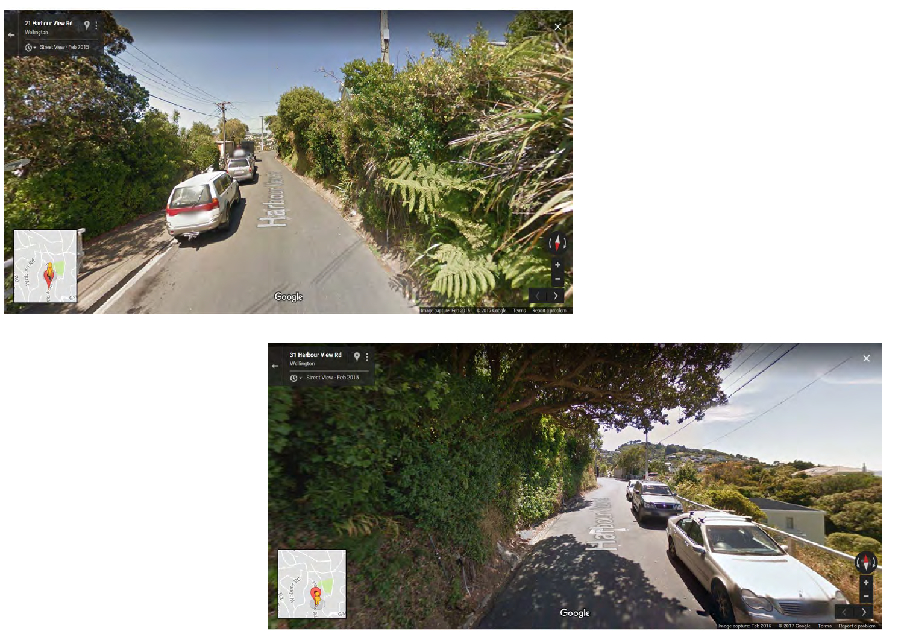